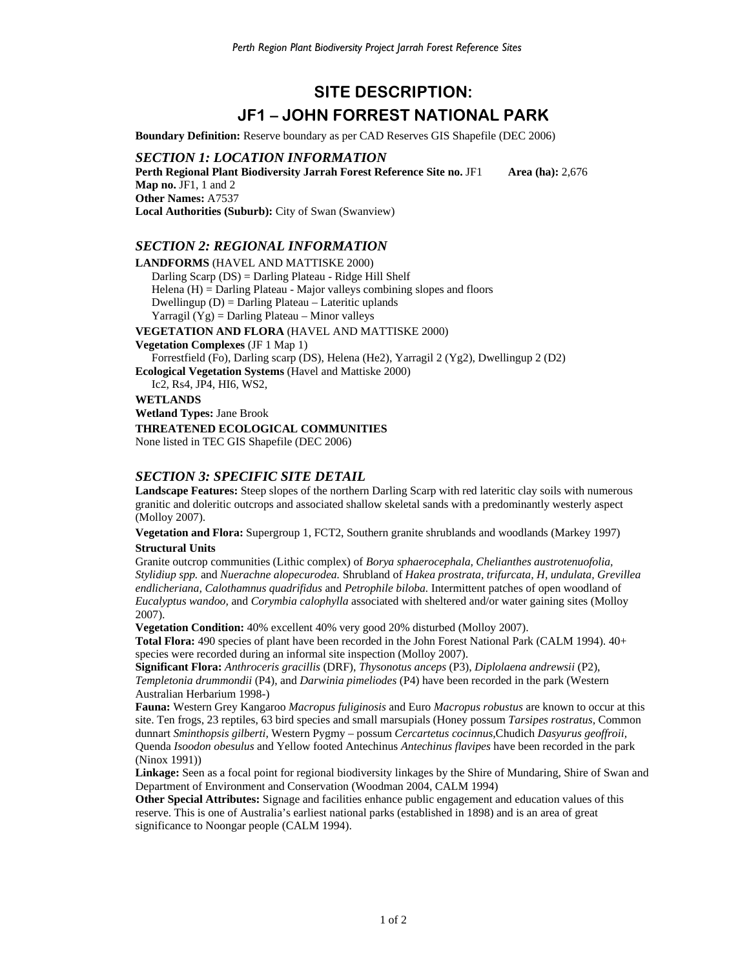# **SITE DESCRIPTION: JF1 – JOHN FORREST NATIONAL PARK**

**Boundary Definition:** Reserve boundary as per CAD Reserves GIS Shapefile (DEC 2006)

*SECTION 1: LOCATION INFORMATION* 

**Perth Regional Plant Biodiversity Jarrah Forest Reference Site no. JF1 Area (ha): 2,676 Map no.** JF1, 1 and 2 **Other Names:** A7537 **Local Authorities (Suburb):** City of Swan (Swanview)

#### *SECTION 2: REGIONAL INFORMATION*

**LANDFORMS** (HAVEL AND MATTISKE 2000) Darling Scarp (DS) = Darling Plateau - Ridge Hill Shelf Helena  $(H)$  = Darling Plateau - Major valleys combining slopes and floors Dwellingup (D) = Darling Plateau – Lateritic uplands Yarragil  $(Yg)$  = Darling Plateau – Minor valleys **VEGETATION AND FLORA** (HAVEL AND MATTISKE 2000) **Vegetation Complexes** (JF 1 Map 1) Forrestfield (Fo), Darling scarp (DS), Helena (He2), Yarragil 2 (Yg2), Dwellingup 2 (D2) **Ecological Vegetation Systems** (Havel and Mattiske 2000) Ic2, Rs4, JP4, HI6, WS2, **WETLANDS** 

**Wetland Types:** Jane Brook **THREATENED ECOLOGICAL COMMUNITIES**  None listed in TEC GIS Shapefile (DEC 2006)

### *SECTION 3: SPECIFIC SITE DETAIL*

**Landscape Features:** Steep slopes of the northern Darling Scarp with red lateritic clay soils with numerous granitic and doleritic outcrops and associated shallow skeletal sands with a predominantly westerly aspect (Molloy 2007).

**Vegetation and Flora:** Supergroup 1, FCT2, Southern granite shrublands and woodlands (Markey 1997) **Structural Units**

Granite outcrop communities (Lithic complex) of *Borya sphaerocephala, Chelianthes austrotenuofolia, Stylidiup spp.* and *Nuerachne alopecurodea.* Shrubland of *Hakea prostrata, trifurcata, H, undulata, Grevillea endlicheriana, Calothamnus quadrifidus* and *Petrophile biloba.* Intermittent patches of open woodland of *Eucalyptus wandoo,* and *Corymbia calophylla* associated with sheltered and/or water gaining sites (Molloy 2007).

**Vegetation Condition:** 40% excellent 40% very good 20% disturbed (Molloy 2007).

**Total Flora:** 490 species of plant have been recorded in the John Forest National Park (CALM 1994). 40+ species were recorded during an informal site inspection (Molloy 2007).

**Significant Flora:** *Anthroceris gracillis* (DRF), *Thysonotus anceps* (P3), *Diplolaena andrewsii* (P2), *Templetonia drummondii* (P4), and *Darwinia pimeliodes* (P4) have been recorded in the park (Western Australian Herbarium 1998-)

**Fauna:** Western Grey Kangaroo *Macropus fuliginosis* and Euro *Macropus robustus* are known to occur at this site. Ten frogs, 23 reptiles, 63 bird species and small marsupials (Honey possum *Tarsipes rostratus,* Common dunnart *Sminthopsis gilberti,* Western Pygmy – possum *Cercartetus cocinnus,*Chudich *Dasyurus geoffroii,*  Quenda *Isoodon obesulus* and Yellow footed Antechinus *Antechinus flavipes* have been recorded in the park (Ninox 1991))

**Linkage:** Seen as a focal point for regional biodiversity linkages by the Shire of Mundaring, Shire of Swan and Department of Environment and Conservation (Woodman 2004, CALM 1994)

**Other Special Attributes:** Signage and facilities enhance public engagement and education values of this reserve. This is one of Australia's earliest national parks (established in 1898) and is an area of great significance to Noongar people (CALM 1994).